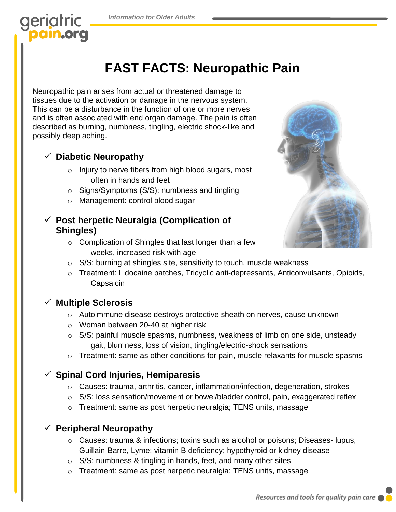

# **FAST FACTS: Neuropathic Pain**

Neuropathic pain arises from actual or threatened damage to tissues due to the activation or damage in the nervous system. This can be a disturbance in the function of one or more nerves and is often associated with end organ damage. The pain is often described as burning, numbness, tingling, electric shock-like and possibly deep aching.

#### ✓ **Diabetic Neuropathy**

- o Injury to nerve fibers from high blood sugars, most often in hands and feet
- o Signs/Symptoms (S/S): numbness and tingling
- o Management: control blood sugar

#### ✓ **Post herpetic Neuralgia (Complication of Shingles)**

o Complication of Shingles that last longer than a few weeks, increased risk with age



- o S/S: burning at shingles site, sensitivity to touch, muscle weakness
- o Treatment: Lidocaine patches, Tricyclic anti-depressants, Anticonvulsants, Opioids, **Capsaicin**

#### ✓ **Multiple Sclerosis**

- o Autoimmune disease destroys protective sheath on nerves, cause unknown
- o Woman between 20-40 at higher risk
- $\circ$  S/S: painful muscle spasms, numbness, weakness of limb on one side, unsteady gait, blurriness, loss of vision, tingling/electric-shock sensations
- $\circ$  Treatment: same as other conditions for pain, muscle relaxants for muscle spasms

#### ✓ **Spinal Cord Injuries, Hemiparesis**

- o Causes: trauma, arthritis, cancer, inflammation/infection, degeneration, strokes
- $\circ$  S/S: loss sensation/movement or bowel/bladder control, pain, exaggerated reflex
- o Treatment: same as post herpetic neuralgia; TENS units, massage

#### ✓ **Peripheral Neuropathy**

- o Causes: trauma & infections; toxins such as alcohol or poisons; Diseases- lupus, Guillain-Barre, Lyme; vitamin B deficiency; hypothyroid or kidney disease
- o S/S: numbness & tingling in hands, feet, and many other sites
- o Treatment: same as post herpetic neuralgia; TENS units, massage